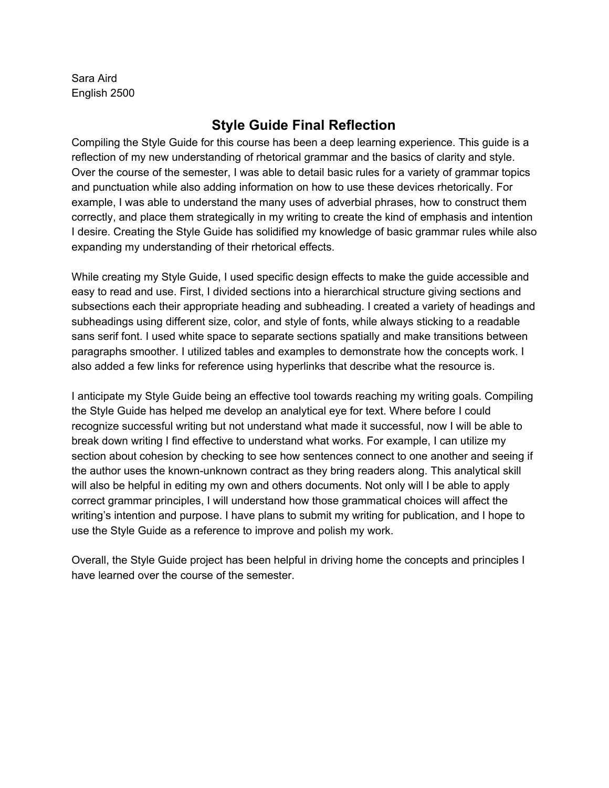Sara Aird English 2500

## **Style Guide Final Reflection**

Compiling the Style Guide for this course has been a deep learning experience. This guide is a reflection of my new understanding of rhetorical grammar and the basics of clarity and style. Over the course of the semester, I was able to detail basic rules for a variety of grammar topics and punctuation while also adding information on how to use these devices rhetorically. For example, I was able to understand the many uses of adverbial phrases, how to construct them correctly, and place them strategically in my writing to create the kind of emphasis and intention I desire. Creating the Style Guide has solidified my knowledge of basic grammar rules while also expanding my understanding of their rhetorical effects.

While creating my Style Guide, I used specific design effects to make the guide accessible and easy to read and use. First, I divided sections into a hierarchical structure giving sections and subsections each their appropriate heading and subheading. I created a variety of headings and subheadings using different size, color, and style of fonts, while always sticking to a readable sans serif font. I used white space to separate sections spatially and make transitions between paragraphs smoother. I utilized tables and examples to demonstrate how the concepts work. I also added a few links for reference using hyperlinks that describe what the resource is.

I anticipate my Style Guide being an effective tool towards reaching my writing goals. Compiling the Style Guide has helped me develop an analytical eye for text. Where before I could recognize successful writing but not understand what made it successful, now I will be able to break down writing I find effective to understand what works. For example, I can utilize my section about cohesion by checking to see how sentences connect to one another and seeing if the author uses the known-unknown contract as they bring readers along. This analytical skill will also be helpful in editing my own and others documents. Not only will I be able to apply correct grammar principles, I will understand how those grammatical choices will affect the writing's intention and purpose. I have plans to submit my writing for publication, and I hope to use the Style Guide as a reference to improve and polish my work.

Overall, the Style Guide project has been helpful in driving home the concepts and principles I have learned over the course of the semester.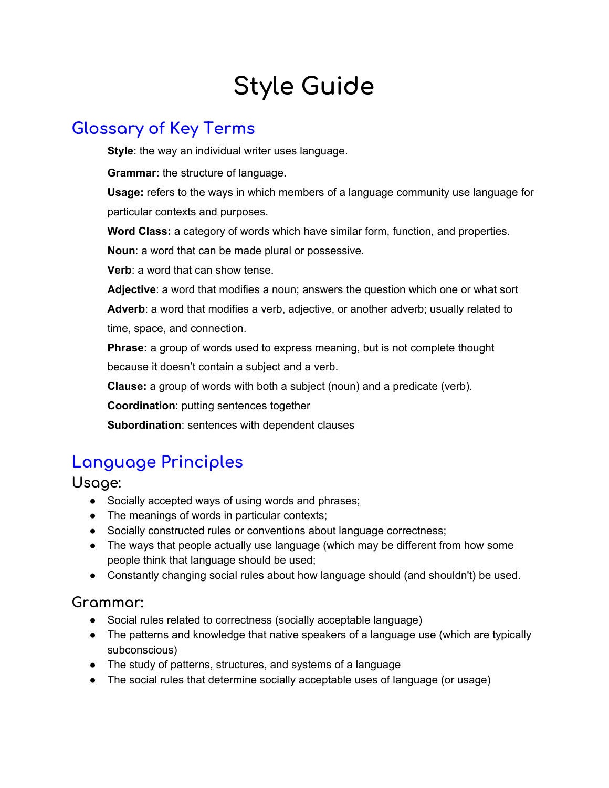# **Style Guide**

## **Glossary of Key Terms**

**Style**: the way an individual writer uses language.

**Grammar:** the structure of language.

**Usage:** refers to the ways in which members of a language community use language for particular contexts and purposes.

**Word Class:** a category of words which have similar form, function, and properties.

**Noun**: a word that can be made plural or possessive.

**Verb**: a word that can show tense.

**Adjective**: a word that modifies a noun; answers the question which one or what sort **Adverb**: a word that modifies a verb, adjective, or another adverb; usually related to time, space, and connection.

**Phrase:** a group of words used to express meaning, but is not complete thought because it doesn't contain a subject and a verb.

**Clause:** a group of words with both a subject (noun) and a predicate (verb).

**Coordination**: putting sentences together

**Subordination**: sentences with dependent clauses

## **Language Principles**

**Usage:**

- Socially accepted ways of using words and phrases;
- The meanings of words in particular contexts;
- Socially constructed rules or conventions about language correctness;
- The ways that people actually use language (which may be different from how some people think that language should be used;
- Constantly changing social rules about how language should (and shouldn't) be used.

## **Grammar:**

- Social rules related to correctness (socially acceptable language)
- The patterns and knowledge that native speakers of a language use (which are typically subconscious)
- The study of patterns, structures, and systems of a language
- The social rules that determine socially acceptable uses of language (or usage)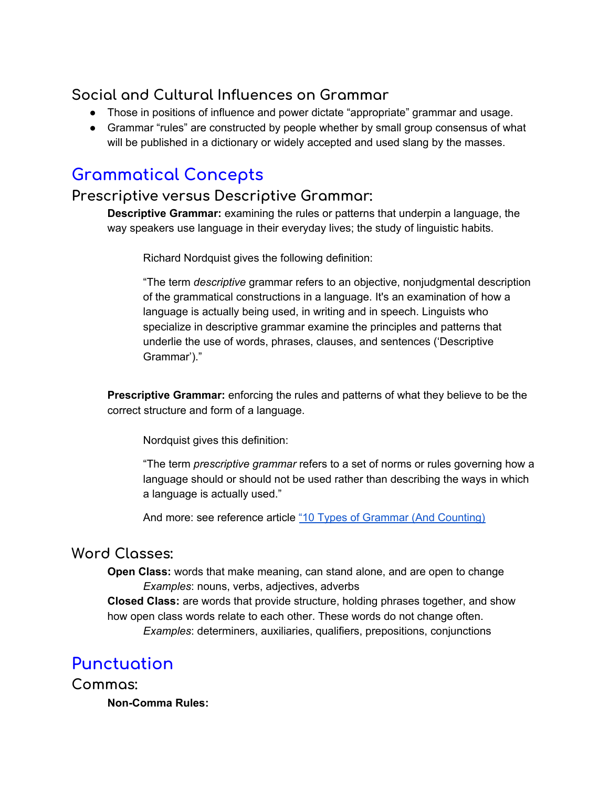## **Social and Cultural Influences on Grammar**

- Those in positions of influence and power dictate "appropriate" grammar and usage.
- Grammar "rules" are constructed by people whether by small group consensus of what will be published in a dictionary or widely accepted and used slang by the masses.

## **Grammatical Concepts**

## **Prescriptive versus Descriptive Grammar:**

**Descriptive Grammar:** examining the rules or patterns that underpin a language, the way speakers use language in their everyday lives; the study of linguistic habits.

Richard Nordquist gives the following definition:

"The term *descriptive* grammar refers to an objective, nonjudgmental description of the grammatical constructions in a language. It's an examination of how a language is actually being used, in writing and in speech. Linguists who specialize in descriptive grammar examine the principles and patterns that underlie the use of words, phrases, clauses, and sentences ('Descriptive Grammar')."

**Prescriptive Grammar:** enforcing the rules and patterns of what they believe to be the correct structure and form of a language.

Nordquist gives this definition:

"The term *prescriptive grammar* refers to a set of norms or rules governing how a language should or should not be used rather than describing the ways in which a language is actually used."

And more: see reference article "10 Types of Grammar (And [Counting\)](https://www.thoughtco.com/types-of-grammar-1689698)

## **Word Classes:**

**Open Class:** words that make meaning, can stand alone, and are open to change *Examples*: nouns, verbs, adjectives, adverbs

**Closed Class:** are words that provide structure, holding phrases together, and show how open class words relate to each other. These words do not change often. *Examples*: determiners, auxiliaries, qualifiers, prepositions, conjunctions

## **Punctuation**

**Commas:**

**Non-Comma Rules:**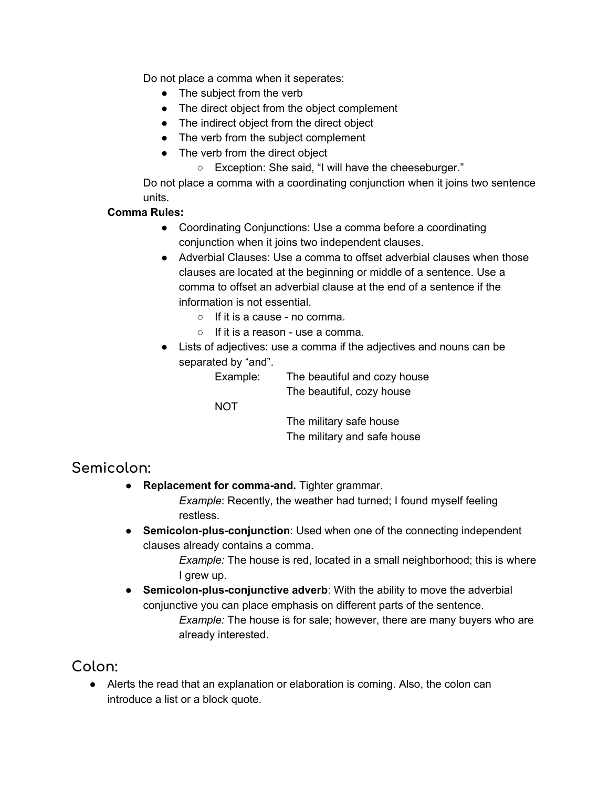Do not place a comma when it seperates:

- The subject from the verb
- The direct object from the object complement
- The indirect object from the direct object
- The verb from the subject complement
- The verb from the direct object
	- Exception: She said, "I will have the cheeseburger."

Do not place a comma with a coordinating conjunction when it joins two sentence units.

#### **Comma Rules:**

- Coordinating Conjunctions: Use a comma before a coordinating conjunction when it joins two independent clauses.
- Adverbial Clauses: Use a comma to offset adverbial clauses when those clauses are located at the beginning or middle of a sentence. Use a comma to offset an adverbial clause at the end of a sentence if the information is not essential.
	- If it is a cause no comma.
	- $\circ$  If it is a reason use a comma.
- Lists of adjectives: use a comma if the adjectives and nouns can be separated by "and".

Example: The beautiful and cozy house The beautiful, cozy house

NOT

The military safe house The military and safe house

### **Semicolon:**

**Replacement for comma-and.** Tighter grammar.

*Example*: Recently, the weather had turned; I found myself feeling restless.

● **Semicolon-plus-conjunction**: Used when one of the connecting independent clauses already contains a comma.

> *Example:* The house is red, located in a small neighborhood; this is where I grew up.

● **Semicolon-plus-conjunctive adverb**: With the ability to move the adverbial conjunctive you can place emphasis on different parts of the sentence. *Example:* The house is for sale; however, there are many buyers who are already interested.

## **Colon:**

● Alerts the read that an explanation or elaboration is coming. Also, the colon can introduce a list or a block quote.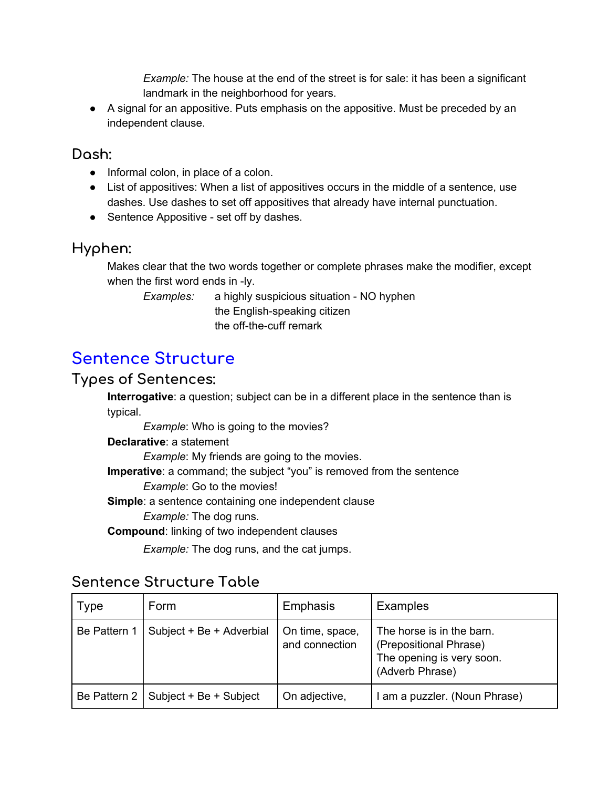*Example:* The house at the end of the street is for sale: it has been a significant landmark in the neighborhood for years.

● A signal for an appositive. Puts emphasis on the appositive. Must be preceded by an independent clause.

### **Dash:**

- Informal colon, in place of a colon.
- List of appositives: When a list of appositives occurs in the middle of a sentence, use dashes. Use dashes to set off appositives that already have internal punctuation.
- Sentence Appositive set off by dashes.

## **Hyphen:**

Makes clear that the two words together or complete phrases make the modifier, except when the first word ends in -ly.

*Examples:* a highly suspicious situation - NO hyphen the English-speaking citizen the off-the-cuff remark

## **Sentence Structure**

### **Types of Sentences:**

**Interrogative**: a question; subject can be in a different place in the sentence than is typical.

*Example*: Who is going to the movies?

**Declarative**: a statement

*Example*: My friends are going to the movies.

**Imperative**: a command; the subject "you" is removed from the sentence

*Example*: Go to the movies!

**Simple**: a sentence containing one independent clause

*Example:* The dog runs.

**Compound**: linking of two independent clauses

*Example:* The dog runs, and the cat jumps.

## **Sentence Structure Table**

| <b>Type</b>  | Form                     | Emphasis                          | <b>Examples</b>                                                                                     |
|--------------|--------------------------|-----------------------------------|-----------------------------------------------------------------------------------------------------|
| Be Pattern 1 | Subject + Be + Adverbial | On time, space,<br>and connection | The horse is in the barn.<br>(Prepositional Phrase)<br>The opening is very soon.<br>(Adverb Phrase) |
| Be Pattern 2 | Subject + Be + Subject   | On adjective,                     | I am a puzzler. (Noun Phrase)                                                                       |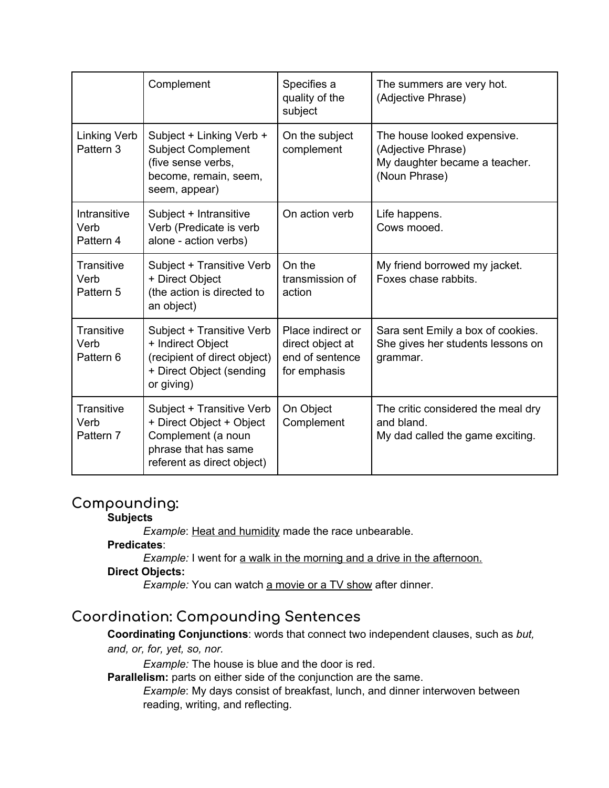|                                   | Complement                                                                                                                        | Specifies a<br>quality of the<br>subject                                 | The summers are very hot.<br>(Adjective Phrase)                                                     |
|-----------------------------------|-----------------------------------------------------------------------------------------------------------------------------------|--------------------------------------------------------------------------|-----------------------------------------------------------------------------------------------------|
| <b>Linking Verb</b><br>Pattern 3  | Subject + Linking Verb +<br><b>Subject Complement</b><br>(five sense verbs,<br>become, remain, seem,<br>seem, appear)             | On the subject<br>complement                                             | The house looked expensive.<br>(Adjective Phrase)<br>My daughter became a teacher.<br>(Noun Phrase) |
| Intransitive<br>Verb<br>Pattern 4 | Subject + Intransitive<br>Verb (Predicate is verb<br>alone - action verbs)                                                        | On action verb                                                           | Life happens.<br>Cows mooed.                                                                        |
| Transitive<br>Verb<br>Pattern 5   | Subject + Transitive Verb<br>+ Direct Object<br>(the action is directed to<br>an object)                                          | On the<br>transmission of<br>action                                      | My friend borrowed my jacket.<br>Foxes chase rabbits.                                               |
| Transitive<br>Verb<br>Pattern 6   | Subject + Transitive Verb<br>+ Indirect Object<br>(recipient of direct object)<br>+ Direct Object (sending<br>or giving)          | Place indirect or<br>direct object at<br>end of sentence<br>for emphasis | Sara sent Emily a box of cookies.<br>She gives her students lessons on<br>grammar.                  |
| Transitive<br>Verb<br>Pattern 7   | Subject + Transitive Verb<br>+ Direct Object + Object<br>Complement (a noun<br>phrase that has same<br>referent as direct object) | On Object<br>Complement                                                  | The critic considered the meal dry<br>and bland.<br>My dad called the game exciting.                |

## **Compounding:**

#### **Subjects**

*Example:* Heat and humidity made the race unbearable.

#### **Predicates**:

*Example:* I went for a walk in the morning and a drive in the afternoon.

#### **Direct Objects:**

*Example:* You can watch a movie or a TV show after dinner.

## **Coordination: Compounding Sentences**

**Coordinating Conjunctions**: words that connect two independent clauses, such as *but,*

#### *and, or, for, yet, so, nor.*

*Example:* The house is blue and the door is red.

**Parallelism:** parts on either side of the conjunction are the same.

*Example*: My days consist of breakfast, lunch, and dinner interwoven between reading, writing, and reflecting.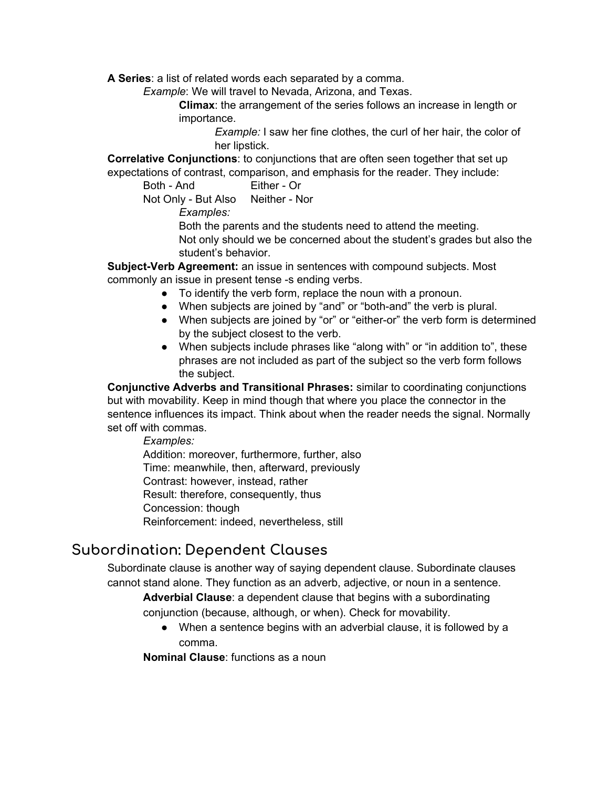**A Series**: a list of related words each separated by a comma.

*Example*: We will travel to Nevada, Arizona, and Texas.

**Climax**: the arrangement of the series follows an increase in length or importance.

> *Example:* I saw her fine clothes, the curl of her hair, the color of her lipstick.

**Correlative Conjunctions**: to conjunctions that are often seen together that set up expectations of contrast, comparison, and emphasis for the reader. They include:

Both - And Either - Or

Not Only - But Also Neither - Nor

*Examples:*

Both the parents and the students need to attend the meeting. Not only should we be concerned about the student's grades but also the student's behavior.

**Subject-Verb Agreement:** an issue in sentences with compound subjects. Most commonly an issue in present tense -s ending verbs.

- To identify the verb form, replace the noun with a pronoun.
- When subjects are joined by "and" or "both-and" the verb is plural.
- When subjects are joined by "or" or "either-or" the verb form is determined by the subject closest to the verb.
- When subjects include phrases like "along with" or "in addition to", these phrases are not included as part of the subject so the verb form follows the subject.

**Conjunctive Adverbs and Transitional Phrases:** similar to coordinating conjunctions but with movability. Keep in mind though that where you place the connector in the sentence influences its impact. Think about when the reader needs the signal. Normally set off with commas.

*Examples:*

Addition: moreover, furthermore, further, also Time: meanwhile, then, afterward, previously Contrast: however, instead, rather Result: therefore, consequently, thus Concession: though Reinforcement: indeed, nevertheless, still

## **Subordination: Dependent Clauses**

Subordinate clause is another way of saying dependent clause. Subordinate clauses cannot stand alone. They function as an adverb, adjective, or noun in a sentence.

**Adverbial Clause**: a dependent clause that begins with a subordinating conjunction (because, although, or when). Check for movability.

● When a sentence begins with an adverbial clause, it is followed by a comma.

**Nominal Clause**: functions as a noun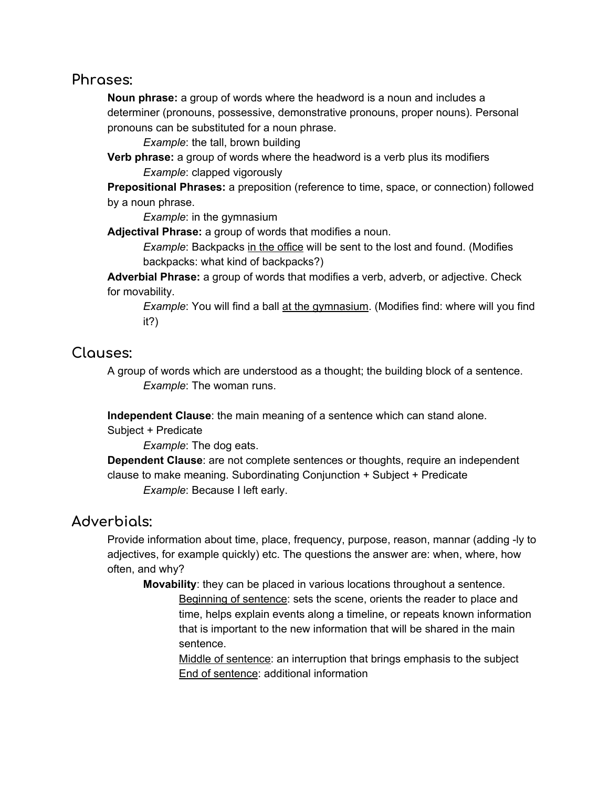#### **Phrases:**

**Noun phrase:** a group of words where the headword is a noun and includes a determiner (pronouns, possessive, demonstrative pronouns, proper nouns). Personal pronouns can be substituted for a noun phrase.

*Example*: the tall, brown building

**Verb phrase:** a group of words where the headword is a verb plus its modifiers *Example*: clapped vigorously

**Prepositional Phrases:** a preposition (reference to time, space, or connection) followed by a noun phrase.

*Example*: in the gymnasium

**Adjectival Phrase:** a group of words that modifies a noun.

*Example*: Backpacks in the office will be sent to the lost and found. (Modifies backpacks: what kind of backpacks?)

**Adverbial Phrase:** a group of words that modifies a verb, adverb, or adjective. Check for movability.

*Example*: You will find a ball at the gymnasium. (Modifies find: where will you find it?)

### **Clauses:**

A group of words which are understood as a thought; the building block of a sentence. *Example*: The woman runs.

**Independent Clause**: the main meaning of a sentence which can stand alone.

Subject + Predicate

*Example*: The dog eats.

**Dependent Clause**: are not complete sentences or thoughts, require an independent clause to make meaning. Subordinating Conjunction + Subject + Predicate *Example*: Because I left early.

### **Adverbials:**

Provide information about time, place, frequency, purpose, reason, mannar (adding -ly to adjectives, for example quickly) etc. The questions the answer are: when, where, how often, and why?

**Movability**: they can be placed in various locations throughout a sentence. Beginning of sentence: sets the scene, orients the reader to place and time, helps explain events along a timeline, or repeats known information that is important to the new information that will be shared in the main sentence.

Middle of sentence: an interruption that brings emphasis to the subject End of sentence: additional information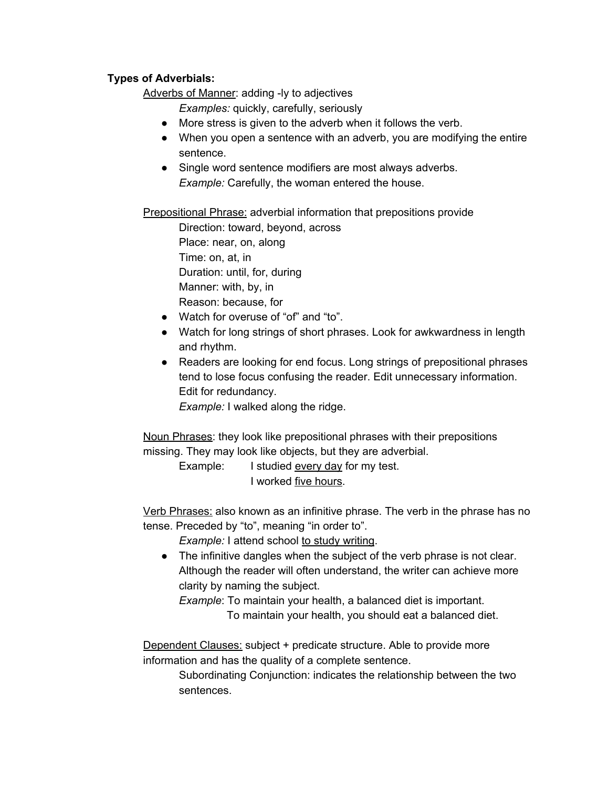#### **Types of Adverbials:**

Adverbs of Manner: adding -ly to adjectives

*Examples:* quickly, carefully, seriously

- More stress is given to the adverb when it follows the verb.
- When you open a sentence with an adverb, you are modifying the entire sentence.
- Single word sentence modifiers are most always adverbs. *Example:* Carefully, the woman entered the house.

**Prepositional Phrase:** adverbial information that prepositions provide

Direction: toward, beyond, across Place: near, on, along Time: on, at, in Duration: until, for, during Manner: with, by, in Reason: because, for

- Watch for overuse of "of" and "to".
- Watch for long strings of short phrases. Look for awkwardness in length and rhythm.
- Readers are looking for end focus. Long strings of prepositional phrases tend to lose focus confusing the reader. Edit unnecessary information. Edit for redundancy.

*Example:* I walked along the ridge.

Noun Phrases: they look like prepositional phrases with their prepositions missing. They may look like objects, but they are adverbial.

> Example: I studied every day for my test. I worked five hours.

Verb Phrases: also known as an infinitive phrase. The verb in the phrase has no tense. Preceded by "to", meaning "in order to".

*Example:* I attend school to study writing.

● The infinitive dangles when the subject of the verb phrase is not clear. Although the reader will often understand, the writer can achieve more clarity by naming the subject.

*Example*: To maintain your health, a balanced diet is important.

To maintain your health, you should eat a balanced diet.

Dependent Clauses: subject + predicate structure. Able to provide more information and has the quality of a complete sentence.

> Subordinating Conjunction: indicates the relationship between the two sentences.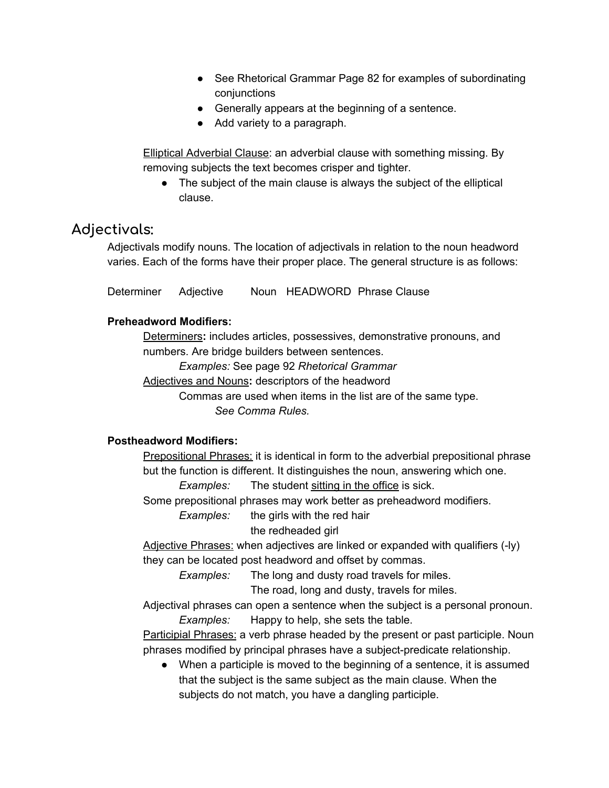- See Rhetorical Grammar Page 82 for examples of subordinating conjunctions
- Generally appears at the beginning of a sentence.
- Add variety to a paragraph.

**Elliptical Adverbial Clause: an adverbial clause with something missing. By** removing subjects the text becomes crisper and tighter.

• The subject of the main clause is always the subject of the elliptical clause.

## **Adjectivals:**

Adjectivals modify nouns. The location of adjectivals in relation to the noun headword varies. Each of the forms have their proper place. The general structure is as follows:

Determiner Adjective Noun HEADWORD Phrase Clause

#### **Preheadword Modifiers:**

Determiners**:** includes articles, possessives, demonstrative pronouns, and numbers. Are bridge builders between sentences.

*Examples:* See page 92 *Rhetorical Grammar*

Adjectives and Nouns**:** descriptors of the headword

Commas are used when items in the list are of the same type. *See Comma Rules.*

#### **Postheadword Modifiers:**

Prepositional Phrases: it is identical in form to the adverbial prepositional phrase but the function is different. It distinguishes the noun, answering which one.

*Examples:* The student sitting in the office is sick.

Some prepositional phrases may work better as preheadword modifiers.

*Examples:* the girls with the red hair

the redheaded girl

Adjective Phrases: when adjectives are linked or expanded with qualifiers (-ly) they can be located post headword and offset by commas.

*Examples:* The long and dusty road travels for miles.

The road, long and dusty, travels for miles.

Adjectival phrases can open a sentence when the subject is a personal pronoun. *Examples:* Happy to help, she sets the table.

Participial Phrases: a verb phrase headed by the present or past participle. Noun phrases modified by principal phrases have a subject-predicate relationship.

● When a participle is moved to the beginning of a sentence, it is assumed that the subject is the same subject as the main clause. When the subjects do not match, you have a dangling participle.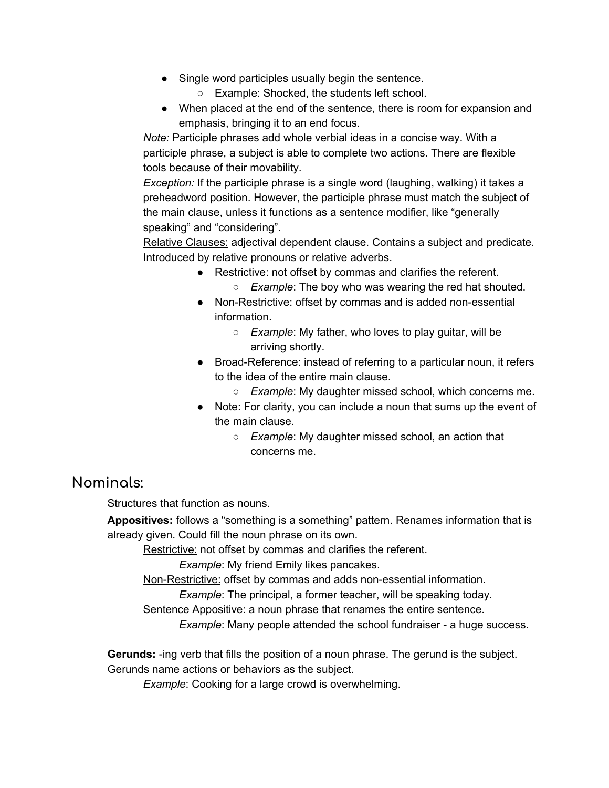- Single word participles usually begin the sentence.
	- Example: Shocked, the students left school.
- When placed at the end of the sentence, there is room for expansion and emphasis, bringing it to an end focus.

*Note:* Participle phrases add whole verbial ideas in a concise way. With a participle phrase, a subject is able to complete two actions. There are flexible tools because of their movability.

*Exception:* If the participle phrase is a single word (laughing, walking) it takes a preheadword position. However, the participle phrase must match the subject of the main clause, unless it functions as a sentence modifier, like "generally speaking" and "considering".

Relative Clauses: adjectival dependent clause. Contains a subject and predicate. Introduced by relative pronouns or relative adverbs.

- Restrictive: not offset by commas and clarifies the referent.
	- *Example*: The boy who was wearing the red hat shouted.
- Non-Restrictive: offset by commas and is added non-essential information.
	- *Example*: My father, who loves to play guitar, will be arriving shortly.
- Broad-Reference: instead of referring to a particular noun, it refers to the idea of the entire main clause.
	- *Example*: My daughter missed school, which concerns me.
- Note: For clarity, you can include a noun that sums up the event of the main clause.
	- *Example*: My daughter missed school, an action that concerns me.

## **Nominals:**

Structures that function as nouns.

**Appositives:** follows a "something is a something" pattern. Renames information that is already given. Could fill the noun phrase on its own.

Restrictive: not offset by commas and clarifies the referent.

*Example*: My friend Emily likes pancakes.

Non-Restrictive: offset by commas and adds non-essential information.

*Example*: The principal, a former teacher, will be speaking today.

Sentence Appositive: a noun phrase that renames the entire sentence.

*Example*: Many people attended the school fundraiser - a huge success.

**Gerunds:** -ing verb that fills the position of a noun phrase. The gerund is the subject. Gerunds name actions or behaviors as the subject.

*Example*: Cooking for a large crowd is overwhelming.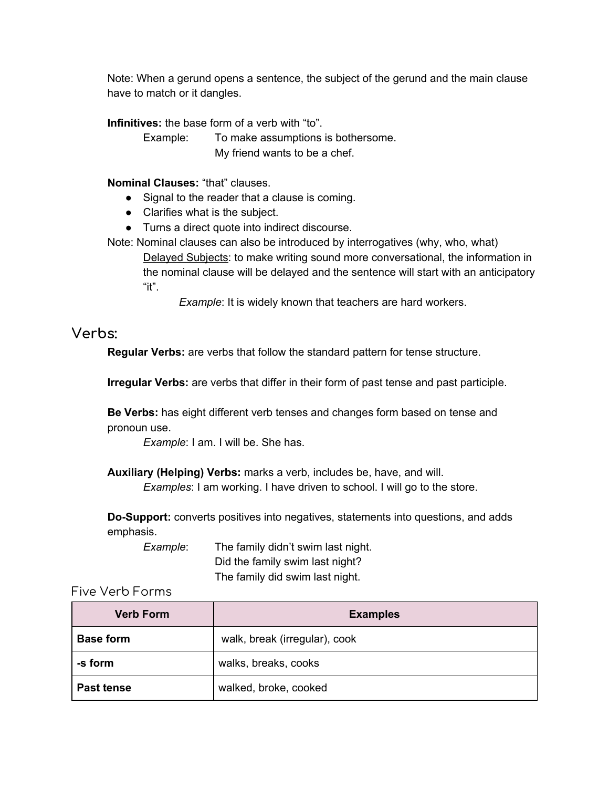Note: When a gerund opens a sentence, the subject of the gerund and the main clause have to match or it dangles.

**Infinitives:** the base form of a verb with "to".

Example: To make assumptions is bothersome. My friend wants to be a chef.

#### **Nominal Clauses:** "that" clauses.

- Signal to the reader that a clause is coming.
- Clarifies what is the subject.
- Turns a direct quote into indirect discourse.
- Note: Nominal clauses can also be introduced by interrogatives (why, who, what) Delayed Subjects: to make writing sound more conversational, the information in the nominal clause will be delayed and the sentence will start with an anticipatory "it".

*Example*: It is widely known that teachers are hard workers.

#### **Verbs:**

**Regular Verbs:** are verbs that follow the standard pattern for tense structure.

**Irregular Verbs:** are verbs that differ in their form of past tense and past participle.

**Be Verbs:** has eight different verb tenses and changes form based on tense and pronoun use.

*Example*: I am. I will be. She has.

**Auxiliary (Helping) Verbs:** marks a verb, includes be, have, and will.

*Examples*: I am working. I have driven to school. I will go to the store.

**Do-Support:** converts positives into negatives, statements into questions, and adds emphasis.

*Example*: The family didn't swim last night. Did the family swim last night? The family did swim last night.

#### Five Verb Forms

| <b>Verb Form</b> | <b>Examples</b>               |  |
|------------------|-------------------------------|--|
| <b>Base form</b> | walk, break (irregular), cook |  |
| -s form          | walks, breaks, cooks          |  |
| Past tense       | walked, broke, cooked         |  |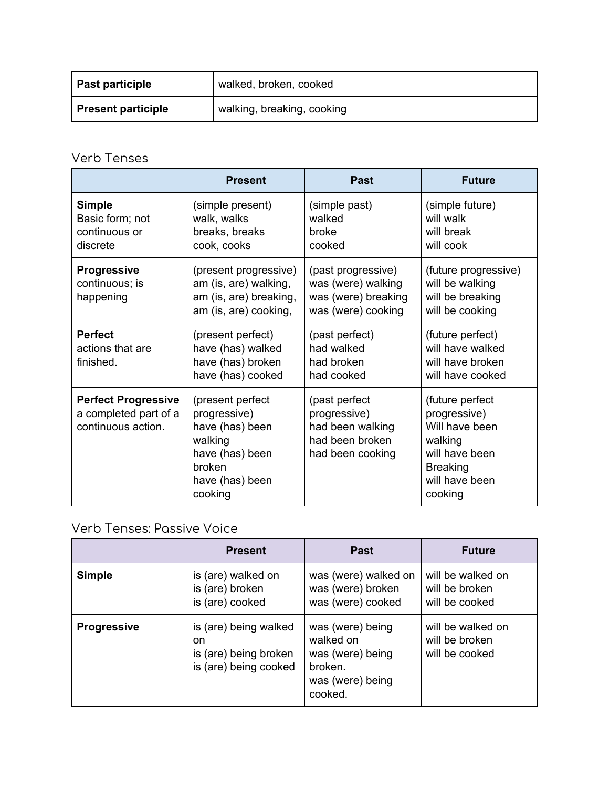| <b>Past participle</b>    | walked, broken, cooked     |
|---------------------------|----------------------------|
| <b>Present participle</b> | walking, breaking, cooking |

## Verb Tenses

|                                                                           | <b>Present</b>                                                                                                            | Past                                                                                     | <b>Future</b>                                                                                                                  |
|---------------------------------------------------------------------------|---------------------------------------------------------------------------------------------------------------------------|------------------------------------------------------------------------------------------|--------------------------------------------------------------------------------------------------------------------------------|
| <b>Simple</b><br>Basic form; not<br>continuous or<br>discrete             | (simple present)<br>walk, walks<br>breaks, breaks<br>cook, cooks                                                          | (simple past)<br>walked<br><b>broke</b><br>cooked                                        | (simple future)<br>will walk<br>will break<br>will cook                                                                        |
| <b>Progressive</b><br>continuous; is<br>happening                         | (present progressive)<br>am (is, are) walking,<br>am (is, are) breaking,<br>am (is, are) cooking,                         | (past progressive)<br>was (were) walking<br>was (were) breaking<br>was (were) cooking    | (future progressive)<br>will be walking<br>will be breaking<br>will be cooking                                                 |
| <b>Perfect</b><br>actions that are<br>finished.                           | (present perfect)<br>have (has) walked<br>have (has) broken<br>have (has) cooked                                          | (past perfect)<br>had walked<br>had broken<br>had cooked                                 | (future perfect)<br>will have walked<br>will have broken<br>will have cooked                                                   |
| <b>Perfect Progressive</b><br>a completed part of a<br>continuous action. | (present perfect<br>progressive)<br>have (has) been<br>walking<br>have (has) been<br>broken<br>have (has) been<br>cooking | (past perfect<br>progressive)<br>had been walking<br>had been broken<br>had been cooking | (future perfect<br>progressive)<br>Will have been<br>walking<br>will have been<br><b>Breaking</b><br>will have been<br>cooking |

## Verb Tenses: Passive Voice

|                    | <b>Present</b>                                                                 | <b>Past</b>                                                                                 | <b>Future</b>                                         |
|--------------------|--------------------------------------------------------------------------------|---------------------------------------------------------------------------------------------|-------------------------------------------------------|
| <b>Simple</b>      | is (are) walked on<br>is (are) broken<br>is (are) cooked                       | was (were) walked on<br>was (were) broken<br>was (were) cooked                              | will be walked on<br>will be broken<br>will be cooked |
| <b>Progressive</b> | is (are) being walked<br>on.<br>is (are) being broken<br>is (are) being cooked | was (were) being<br>walked on<br>was (were) being<br>broken.<br>was (were) being<br>cooked. | will be walked on<br>will be broken<br>will be cooked |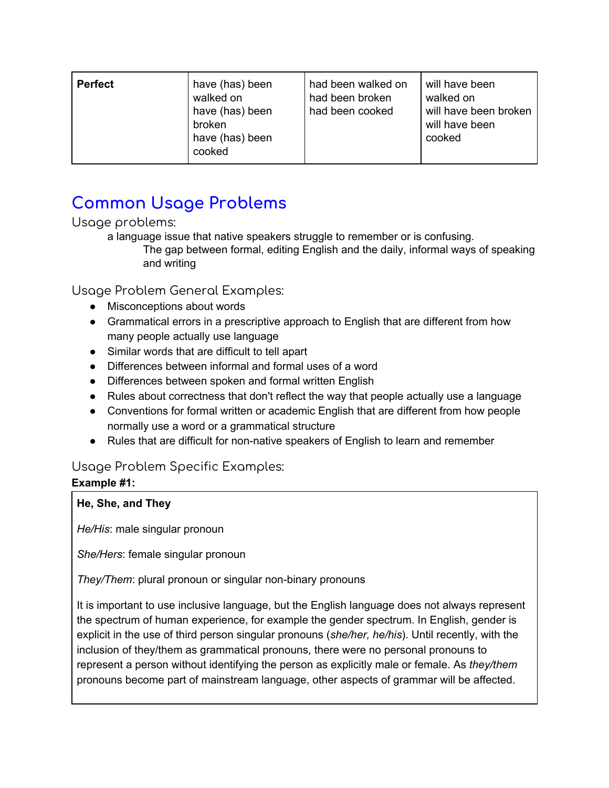| <b>Perfect</b> | have (has) been<br>walked on<br>have (has) been<br>broken<br>have (has) been<br>cooked | had been walked on<br>had been broken<br>had been cooked | will have been<br>walked on<br>will have been broken<br>will have been<br>cooked |
|----------------|----------------------------------------------------------------------------------------|----------------------------------------------------------|----------------------------------------------------------------------------------|
|----------------|----------------------------------------------------------------------------------------|----------------------------------------------------------|----------------------------------------------------------------------------------|

## **Common Usage Problems**

Usage problems:

a language issue that native speakers struggle to remember or is confusing. The gap between formal, editing English and the daily, informal ways of speaking and writing

Usage Problem General Examples:

- Misconceptions about words
- Grammatical errors in a prescriptive approach to English that are different from how many people actually use language
- Similar words that are difficult to tell apart
- Differences between informal and formal uses of a word
- Differences between spoken and formal written English
- Rules about correctness that don't reflect the way that people actually use a language
- Conventions for formal written or academic English that are different from how people normally use a word or a grammatical structure
- Rules that are difficult for non-native speakers of English to learn and remember

#### Usage Problem Specific Examples:

### **Example #1:**

#### **He, She, and They**

*He/His*: male singular pronoun

*She/Hers*: female singular pronoun

*They/Them*: plural pronoun or singular non-binary pronouns

It is important to use inclusive language, but the English language does not always represent the spectrum of human experience, for example the gender spectrum. In English, gender is explicit in the use of third person singular pronouns (*she/her, he/his*). Until recently, with the inclusion of they/them as grammatical pronouns, there were no personal pronouns to represent a person without identifying the person as explicitly male or female. As *they/them* pronouns become part of mainstream language, other aspects of grammar will be affected.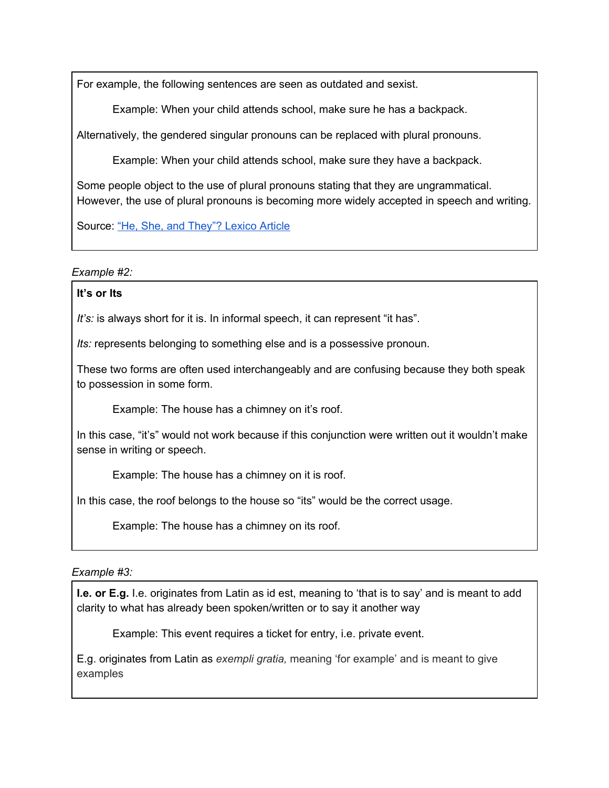For example, the following sentences are seen as outdated and sexist.

Example: When your child attends school, make sure he has a backpack.

Alternatively, the gendered singular pronouns can be replaced with plural pronouns.

Example: When your child attends school, make sure they have a backpack.

Some people object to the use of plural pronouns stating that they are ungrammatical. However, the use of plural pronouns is becoming more widely accepted in speech and writing.

Source: "He, She, and [They"?](https://www.lexico.com/grammar/he-or-she-versus-they) Lexico Article

#### *Example #2:*

#### **It's or Its**

*It's:* is always short for it is. In informal speech, it can represent "it has".

*Its:* represents belonging to something else and is a possessive pronoun.

These two forms are often used interchangeably and are confusing because they both speak to possession in some form.

Example: The house has a chimney on it's roof.

In this case, "it's" would not work because if this conjunction were written out it wouldn't make sense in writing or speech.

Example: The house has a chimney on it is roof.

In this case, the roof belongs to the house so "its" would be the correct usage.

Example: The house has a chimney on its roof.

#### *Example #3:*

**I.e. or E.g.** I.e. originates from Latin as id est, meaning to 'that is to say' and is meant to add clarity to what has already been spoken/written or to say it another way

Example: This event requires a ticket for entry, i.e. private event.

E.g. originates from Latin as *exempli gratia,* meaning 'for example' and is meant to give examples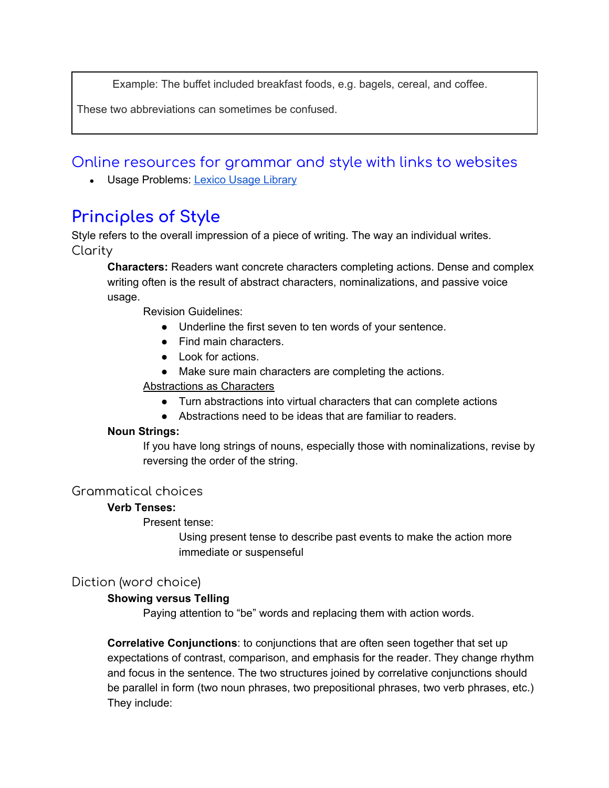Example: The buffet included breakfast foods, e.g. bagels, cereal, and coffee.

These two abbreviations can sometimes be confused.

Online resources for grammar and style with links to websites

• Usage Problems: Lexico Usage [Library](https://www.lexico.com/grammar/usage)

## **Principles of Style**

Style refers to the overall impression of a piece of writing. The way an individual writes. Clarity

**Characters:** Readers want concrete characters completing actions. Dense and complex writing often is the result of abstract characters, nominalizations, and passive voice usage.

Revision Guidelines:

- Underline the first seven to ten words of your sentence.
- Find main characters.
- Look for actions.
- Make sure main characters are completing the actions.

#### Abstractions as Characters

- Turn abstractions into virtual characters that can complete actions
- Abstractions need to be ideas that are familiar to readers.

#### **Noun Strings:**

If you have long strings of nouns, especially those with nominalizations, revise by reversing the order of the string.

#### Grammatical choices

#### **Verb Tenses:**

Present tense:

Using present tense to describe past events to make the action more immediate or suspenseful

#### Diction (word choice)

#### **Showing versus Telling**

Paying attention to "be" words and replacing them with action words.

**Correlative Conjunctions**: to conjunctions that are often seen together that set up expectations of contrast, comparison, and emphasis for the reader. They change rhythm and focus in the sentence. The two structures joined by correlative conjunctions should be parallel in form (two noun phrases, two prepositional phrases, two verb phrases, etc.) They include: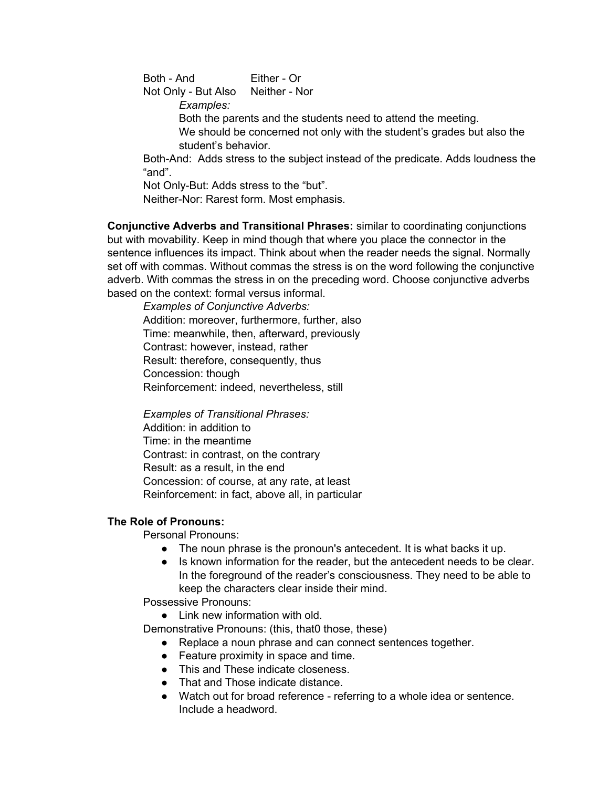Both - And Either - Or Not Only - But Also Neither - Nor *Examples:*

Both the parents and the students need to attend the meeting.

We should be concerned not only with the student's grades but also the student's behavior.

Both-And: Adds stress to the subject instead of the predicate. Adds loudness the "and".

Not Only-But: Adds stress to the "but".

Neither-Nor: Rarest form. Most emphasis.

**Conjunctive Adverbs and Transitional Phrases:** similar to coordinating conjunctions but with movability. Keep in mind though that where you place the connector in the sentence influences its impact. Think about when the reader needs the signal. Normally set off with commas. Without commas the stress is on the word following the conjunctive adverb. With commas the stress in on the preceding word. Choose conjunctive adverbs based on the context: formal versus informal.

*Examples of Conjunctive Adverbs:* Addition: moreover, furthermore, further, also Time: meanwhile, then, afterward, previously Contrast: however, instead, rather Result: therefore, consequently, thus Concession: though Reinforcement: indeed, nevertheless, still

*Examples of Transitional Phrases:*

Addition: in addition to Time: in the meantime Contrast: in contrast, on the contrary Result: as a result, in the end Concession: of course, at any rate, at least Reinforcement: in fact, above all, in particular

#### **The Role of Pronouns:**

Personal Pronouns:

- The noun phrase is the pronoun's antecedent. It is what backs it up.
- Is known information for the reader, but the antecedent needs to be clear. In the foreground of the reader's consciousness. They need to be able to keep the characters clear inside their mind.

Possessive Pronouns:

• Link new information with old.

Demonstrative Pronouns: (this, that0 those, these)

- Replace a noun phrase and can connect sentences together.
- Feature proximity in space and time.
- This and These indicate closeness.
- That and Those indicate distance.
- Watch out for broad reference referring to a whole idea or sentence. Include a headword.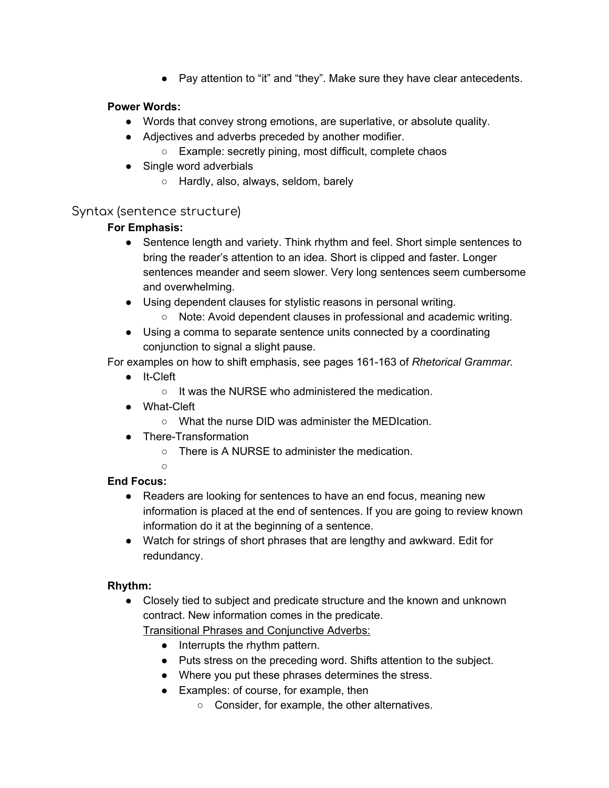● Pay attention to "it" and "they". Make sure they have clear antecedents.

#### **Power Words:**

- Words that convey strong emotions, are superlative, or absolute quality.
- Adjectives and adverbs preceded by another modifier.
	- Example: secretly pining, most difficult, complete chaos
- Single word adverbials
	- Hardly, also, always, seldom, barely

#### Syntax (sentence structure)

#### **For Emphasis:**

- Sentence length and variety. Think rhythm and feel. Short simple sentences to bring the reader's attention to an idea. Short is clipped and faster. Longer sentences meander and seem slower. Very long sentences seem cumbersome and overwhelming.
- Using dependent clauses for stylistic reasons in personal writing.
	- Note: Avoid dependent clauses in professional and academic writing.
- Using a comma to separate sentence units connected by a coordinating conjunction to signal a slight pause.

For examples on how to shift emphasis, see pages 161-163 of *Rhetorical Grammar.*

- It-Cleft
	- It was the NURSE who administered the medication.
- What-Cleft
	- What the nurse DID was administer the MEDIcation.
- There-Transformation
	- There is A NURSE to administer the medication.
	- $\cap$

#### **End Focus:**

- Readers are looking for sentences to have an end focus, meaning new information is placed at the end of sentences. If you are going to review known information do it at the beginning of a sentence.
- Watch for strings of short phrases that are lengthy and awkward. Edit for redundancy.

#### **Rhythm:**

● Closely tied to subject and predicate structure and the known and unknown contract. New information comes in the predicate.

Transitional Phrases and Conjunctive Adverbs:

- Interrupts the rhythm pattern.
- Puts stress on the preceding word. Shifts attention to the subject.
- Where you put these phrases determines the stress.
- Examples: of course, for example, then
	- Consider, for example, the other alternatives.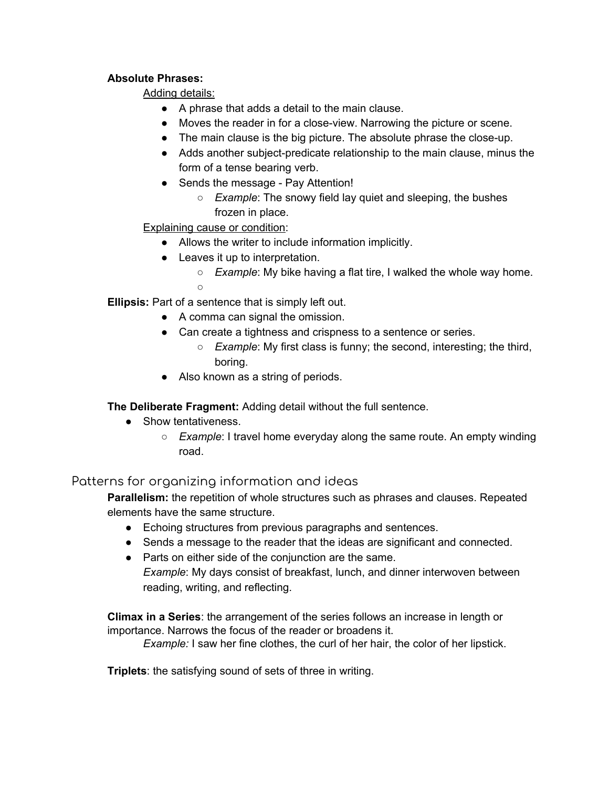#### **Absolute Phrases:**

Adding details:

- A phrase that adds a detail to the main clause.
- Moves the reader in for a close-view. Narrowing the picture or scene.
- The main clause is the big picture. The absolute phrase the close-up.
- Adds another subject-predicate relationship to the main clause, minus the form of a tense bearing verb.
- Sends the message Pay Attention!
	- *Example*: The snowy field lay quiet and sleeping, the bushes frozen in place.

#### Explaining cause or condition:

- Allows the writer to include information implicitly.
- Leaves it up to interpretation.
	- *Example*: My bike having a flat tire, I walked the whole way home.  $\Omega$

**Ellipsis:** Part of a sentence that is simply left out.

- A comma can signal the omission.
- Can create a tightness and crispness to a sentence or series.
	- *Example*: My first class is funny; the second, interesting; the third, boring.
- Also known as a string of periods.

**The Deliberate Fragment:** Adding detail without the full sentence.

- Show tentativeness.
	- *Example*: I travel home everyday along the same route. An empty winding road.

#### Patterns for organizing information and ideas

**Parallelism:** the repetition of whole structures such as phrases and clauses. Repeated elements have the same structure.

- Echoing structures from previous paragraphs and sentences.
- Sends a message to the reader that the ideas are significant and connected.
- Parts on either side of the conjunction are the same. *Example*: My days consist of breakfast, lunch, and dinner interwoven between reading, writing, and reflecting.

**Climax in a Series**: the arrangement of the series follows an increase in length or importance. Narrows the focus of the reader or broadens it.

*Example:* I saw her fine clothes, the curl of her hair, the color of her lipstick.

**Triplets**: the satisfying sound of sets of three in writing.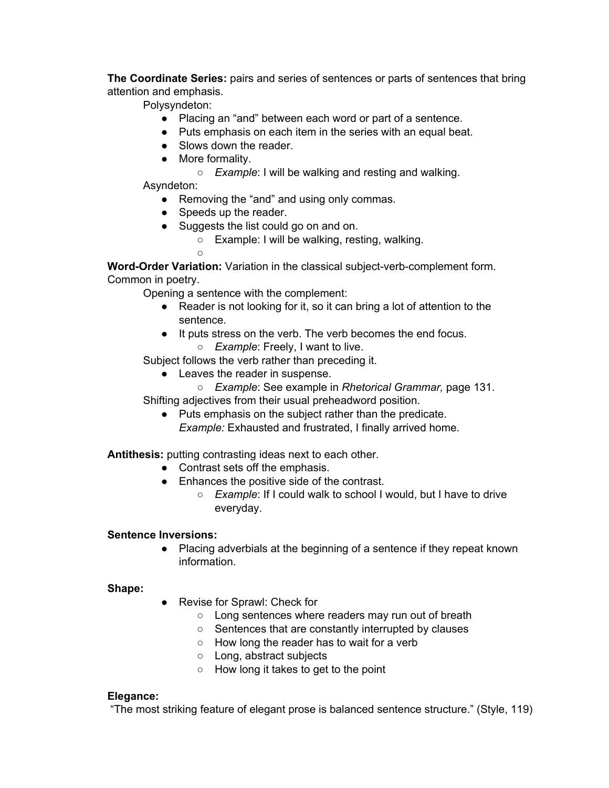**The Coordinate Series:** pairs and series of sentences or parts of sentences that bring attention and emphasis.

Polysyndeton:

- Placing an "and" between each word or part of a sentence.
- Puts emphasis on each item in the series with an equal beat.
- Slows down the reader.
- More formality.
	- *Example*: I will be walking and resting and walking.

Asyndeton:

- Removing the "and" and using only commas.
- Speeds up the reader.
- Suggests the list could go on and on.
	- Example: I will be walking, resting, walking.
	- ○

**Word-Order Variation:** Variation in the classical subject-verb-complement form. Common in poetry.

Opening a sentence with the complement:

- Reader is not looking for it, so it can bring a lot of attention to the sentence.
- It puts stress on the verb. The verb becomes the end focus. ○ *Example*: Freely, I want to live.
- Subject follows the verb rather than preceding it.
	- Leaves the reader in suspense.
- *Example*: See example in *Rhetorical Grammar,* page 131. Shifting adjectives from their usual preheadword position.
	- Puts emphasis on the subject rather than the predicate. *Example:* Exhausted and frustrated, I finally arrived home.

**Antithesis:** putting contrasting ideas next to each other.

- Contrast sets off the emphasis.
- Enhances the positive side of the contrast.
	- *Example*: If I could walk to school I would, but I have to drive everyday.

#### **Sentence Inversions:**

● Placing adverbials at the beginning of a sentence if they repeat known information.

#### **Shape:**

- Revise for Sprawl: Check for
	- Long sentences where readers may run out of breath
	- Sentences that are constantly interrupted by clauses
	- How long the reader has to wait for a verb
	- Long, abstract subjects
	- How long it takes to get to the point

#### **Elegance:**

"The most striking feature of elegant prose is balanced sentence structure." (Style, 119)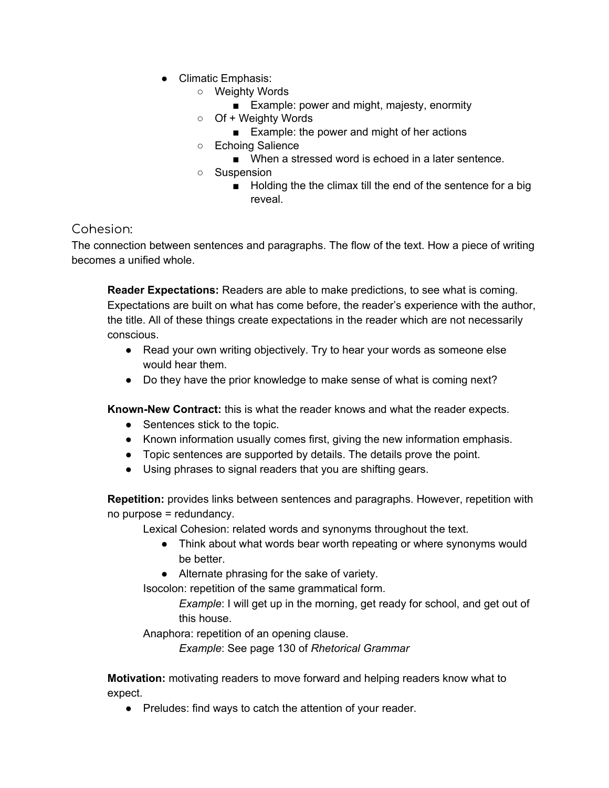- Climatic Emphasis:
	- Weighty Words
		- Example: power and might, majesty, enormity
	- Of + Weighty Words
		- Example: the power and might of her actions
	- Echoing Salience
		- When a stressed word is echoed in a later sentence.
	- Suspension
		- Holding the the climax till the end of the sentence for a big reveal.

#### Cohesion:

The connection between sentences and paragraphs. The flow of the text. How a piece of writing becomes a unified whole.

**Reader Expectations:** Readers are able to make predictions, to see what is coming. Expectations are built on what has come before, the reader's experience with the author, the title. All of these things create expectations in the reader which are not necessarily conscious.

- Read your own writing objectively. Try to hear your words as someone else would hear them.
- Do they have the prior knowledge to make sense of what is coming next?

**Known-New Contract:** this is what the reader knows and what the reader expects.

- Sentences stick to the topic.
- Known information usually comes first, giving the new information emphasis.
- Topic sentences are supported by details. The details prove the point.
- Using phrases to signal readers that you are shifting gears.

**Repetition:** provides links between sentences and paragraphs. However, repetition with no purpose = redundancy.

Lexical Cohesion: related words and synonyms throughout the text.

- Think about what words bear worth repeating or where synonyms would be better.
- Alternate phrasing for the sake of variety.

Isocolon: repetition of the same grammatical form.

*Example*: I will get up in the morning, get ready for school, and get out of this house.

Anaphora: repetition of an opening clause.

*Example*: See page 130 of *Rhetorical Grammar*

**Motivation:** motivating readers to move forward and helping readers know what to expect.

● Preludes: find ways to catch the attention of your reader.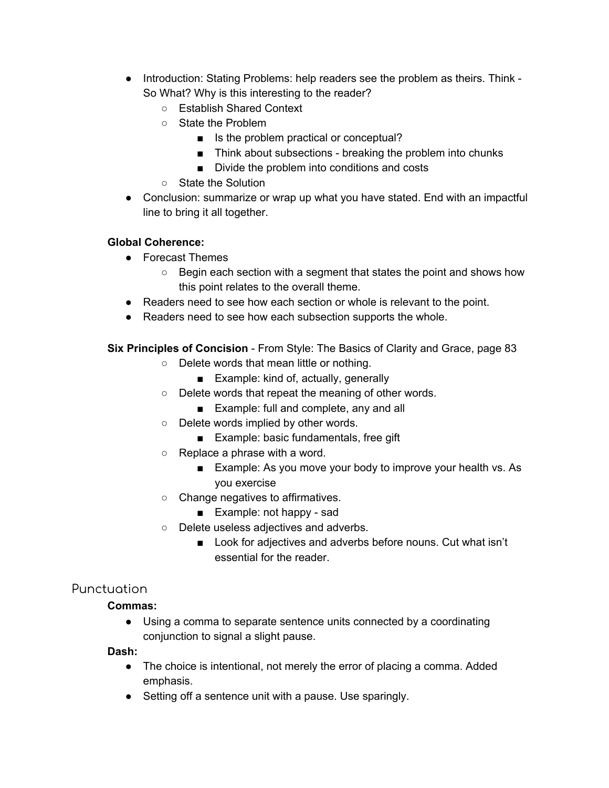- Introduction: Stating Problems: help readers see the problem as theirs. Think So What? Why is this interesting to the reader?
	- Establish Shared Context
	- State the Problem
		- Is the problem practical or conceptual?
		- Think about subsections breaking the problem into chunks
		- Divide the problem into conditions and costs
	- State the Solution
- Conclusion: summarize or wrap up what you have stated. End with an impactful line to bring it all together.

#### **Global Coherence:**

- Forecast Themes
	- Begin each section with a segment that states the point and shows how this point relates to the overall theme.
- Readers need to see how each section or whole is relevant to the point.
- Readers need to see how each subsection supports the whole.

**Six Principles of Concision** - From Style: The Basics of Clarity and Grace, page 83

- Delete words that mean little or nothing.
	- Example: kind of, actually, generally
- Delete words that repeat the meaning of other words.
	- Example: full and complete, any and all
- Delete words implied by other words.
	- Example: basic fundamentals, free gift
- $\circ$  Replace a phrase with a word.
	- Example: As you move your body to improve your health vs. As you exercise
- Change negatives to affirmatives.
	- Example: not happy sad
- Delete useless adjectives and adverbs.
	- Look for adjectives and adverbs before nouns. Cut what isn't essential for the reader.

#### Punctuation

#### **Commas:**

● Using a comma to separate sentence units connected by a coordinating conjunction to signal a slight pause.

#### **Dash:**

- The choice is intentional, not merely the error of placing a comma. Added emphasis.
- Setting off a sentence unit with a pause. Use sparingly.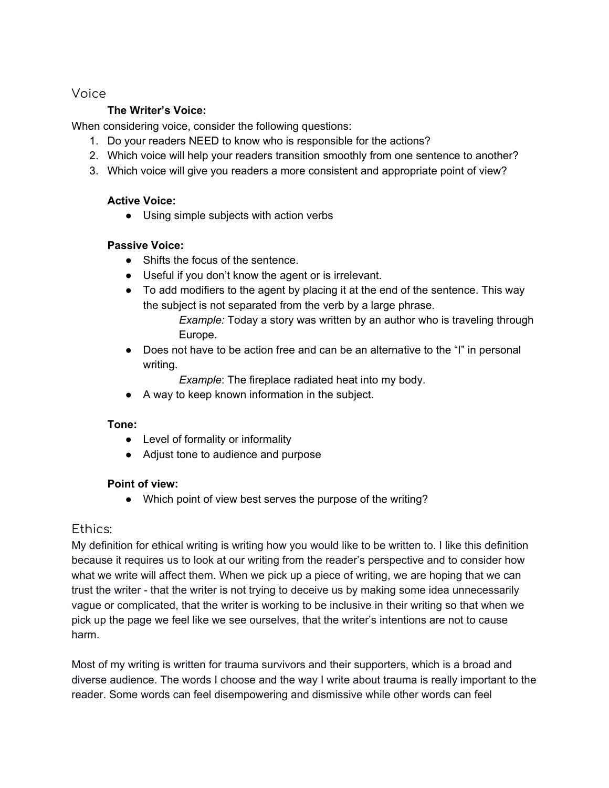#### Voice

#### **The Writer's Voice:**

When considering voice, consider the following questions:

- 1. Do your readers NEED to know who is responsible for the actions?
- 2. Which voice will help your readers transition smoothly from one sentence to another?
- 3. Which voice will give you readers a more consistent and appropriate point of view?

#### **Active Voice:**

● Using simple subjects with action verbs

#### **Passive Voice:**

- Shifts the focus of the sentence.
- Useful if you don't know the agent or is irrelevant.
- To add modifiers to the agent by placing it at the end of the sentence. This way the subject is not separated from the verb by a large phrase.
	- *Example:* Today a story was written by an author who is traveling through Europe.
- Does not have to be action free and can be an alternative to the "I" in personal writing.

*Example*: The fireplace radiated heat into my body.

● A way to keep known information in the subject.

#### **Tone:**

- Level of formality or informality
- Adjust tone to audience and purpose

#### **Point of view:**

• Which point of view best serves the purpose of the writing?

#### Ethics:

My definition for ethical writing is writing how you would like to be written to. I like this definition because it requires us to look at our writing from the reader's perspective and to consider how what we write will affect them. When we pick up a piece of writing, we are hoping that we can trust the writer - that the writer is not trying to deceive us by making some idea unnecessarily vague or complicated, that the writer is working to be inclusive in their writing so that when we pick up the page we feel like we see ourselves, that the writer's intentions are not to cause harm.

Most of my writing is written for trauma survivors and their supporters, which is a broad and diverse audience. The words I choose and the way I write about trauma is really important to the reader. Some words can feel disempowering and dismissive while other words can feel